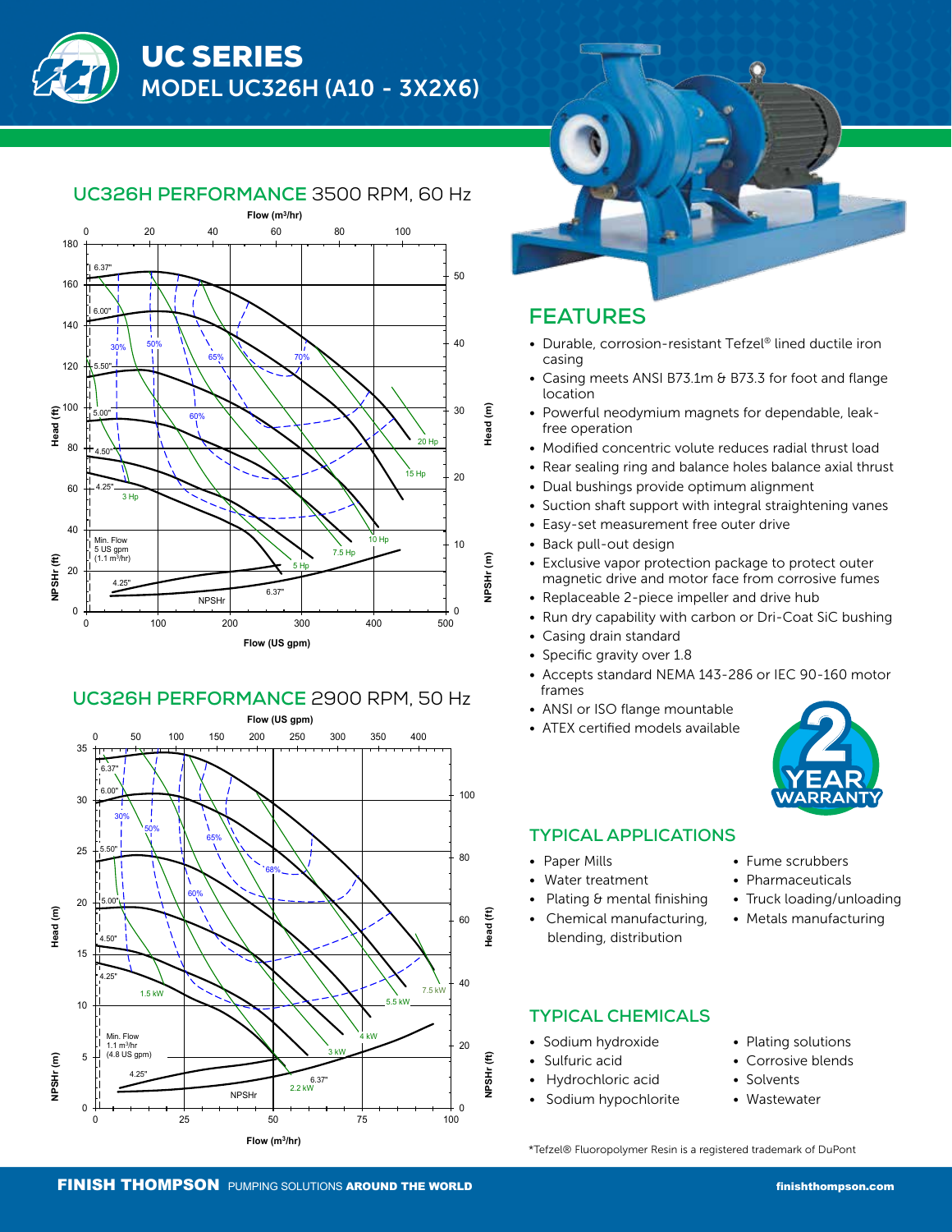



## **UC326H PERFORMANCE** 3500 RPM, 60 Hz

## **UC326H PERFORMANCE** 2900 RPM, 50 Hz





## **FEATURES**

- Durable, corrosion-resistant Tefzel® lined ductile iron casing
- Casing meets ANSI B73.1m & B73.3 for foot and flange location
- Powerful neodymium magnets for dependable, leak free operation
- Modified concentric volute reduces radial thrust load
- Rear sealing ring and balance holes balance axial thrust
- Dual bushings provide optimum alignment
- Suction shaft support with integral straightening vanes
- Easy-set measurement free outer drive
- Back pull-out design
- Exclusive vapor protection package to protect outer magnetic drive and motor face from corrosive fumes
- Replaceable 2-piece impeller and drive hub
- Run dry capability with carbon or Dri-Coat SiC bushing
- Casing drain standard
- Specific gravity over 1.8
- Accepts standard NEMA 143-286 or IEC 90-160 motor frames
- ANSI or ISO flange mountable
- ATEX certified models available



## **TYPICAL APPLICATIONS**

- Paper Mills
- Water treatment
- Plating & mental finishing
- Chemical manufacturing, blending, distribution
- Fume scrubbers
- Pharmaceuticals
- Truck loading/unloading
- Metals manufacturing

#### **TYPICAL CHEMICALS**

- Sodium hydroxide
- Sulfuric acid
- Hydrochloric acid
- Sodium hypochlorite
- Plating solutions
- Corrosive blends
- Solvents
- Wastewater

<sup>\*</sup>Tefzel® Fluoropolymer Resin is a registered trademark of DuPont